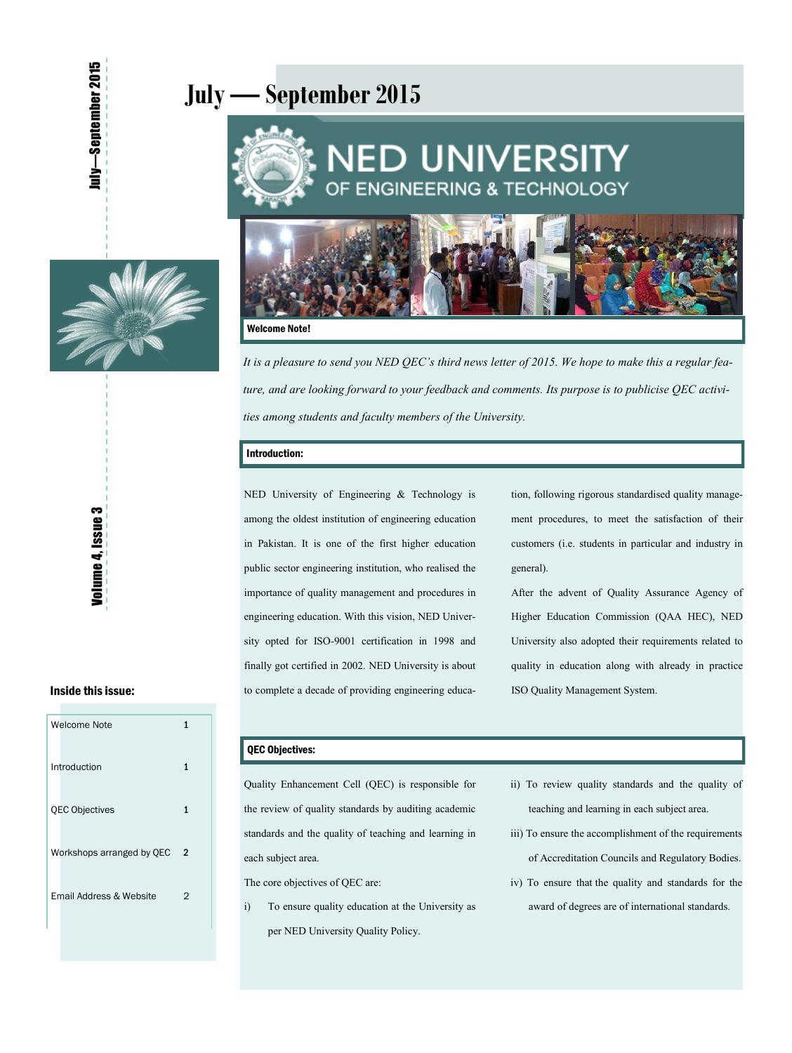# **July — September 2015**





#### Welcome Note!

*It is a pleasure to send you NED QEC's third news letter of 2015. We hope to make this a regular feature, and are looking forward to your feedback and comments. Its purpose is to publicise QEC activities among students and faculty members of the University.* 

#### Introduction:

NED University of Engineering & Technology is among the oldest institution of engineering education in Pakistan. It is one of the first higher education public sector engineering institution, who realised the importance of quality management and procedures in engineering education. With this vision, NED University opted for ISO-9001 certification in 1998 and finally got certified in 2002. NED University is about to complete a decade of providing engineering educa-

tion, following rigorous standardised quality management procedures, to meet the satisfaction of their customers (i.e. students in particular and industry in general).

After the advent of Quality Assurance Agency of Higher Education Commission (QAA HEC), NED University also adopted their requirements related to quality in education along with already in practice ISO Quality Management System.

## Inside this issue:

| Welcome Note              | 1 |
|---------------------------|---|
| Introduction              | 1 |
| <b>QEC Objectives</b>     | 1 |
| Workshops arranged by QEC | 2 |
| Email Address & Website   | 2 |
|                           |   |

#### QEC Objectives:

Quality Enhancement Cell (QEC) is responsible for the review of quality standards by auditing academic standards and the quality of teaching and learning in each subject area.

The core objectives of QEC are:

- i) To ensure quality education at the University as per NED University Quality Policy.
- ii) To review quality standards and the quality of teaching and learning in each subject area.
- iii) To ensure the accomplishment of the requirements of Accreditation Councils and Regulatory Bodies.
- iv) To ensure that the quality and standards for the award of degrees are of international standards.